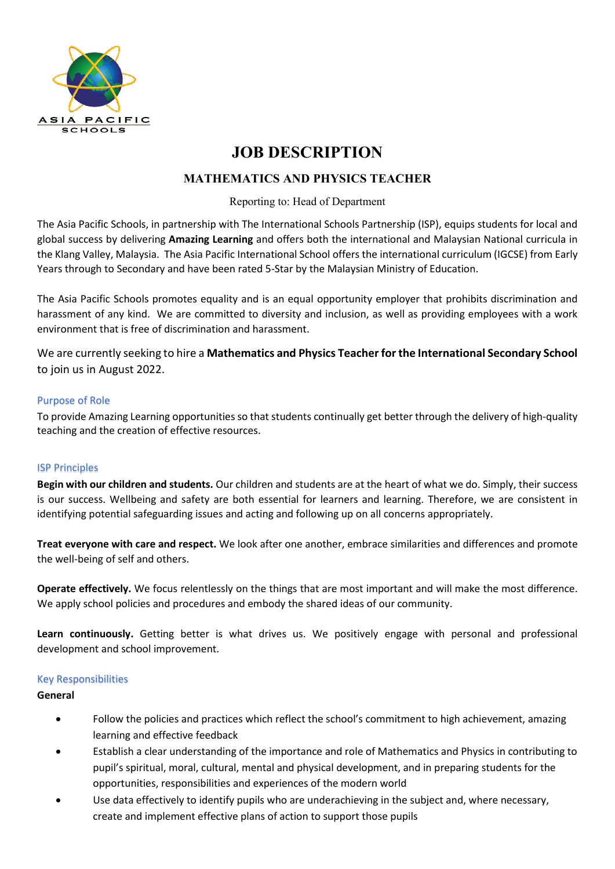

# **JOB DESCRIPTION**

## **MATHEMATICS AND PHYSICS TEACHER**

## Reporting to: Head of Department

The Asia Pacific Schools, in partnership with The International Schools Partnership (ISP), equips students for local and global success by delivering **Amazing Learning** and offers both the international and Malaysian National curricula in the Klang Valley, Malaysia. The Asia Pacific International School offers the international curriculum (IGCSE) from Early Years through to Secondary and have been rated 5-Star by the Malaysian Ministry of Education.

The Asia Pacific Schools promotes equality and is an equal opportunity employer that prohibits discrimination and harassment of any kind. We are committed to diversity and inclusion, as well as providing employees with a work environment that is free of discrimination and harassment.

We are currently seeking to hire a **Mathematics and Physics Teacher for the International Secondary School** to join us in August 2022.

## Purpose of Role

To provide Amazing Learning opportunities so that students continually get better through the delivery of high-quality teaching and the creation of effective resources.

## ISP Principles

**Begin with our children and students.** Our children and students are at the heart of what we do. Simply, their success is our success. Wellbeing and safety are both essential for learners and learning. Therefore, we are consistent in identifying potential safeguarding issues and acting and following up on all concerns appropriately.

**Treat everyone with care and respect.** We look after one another, embrace similarities and differences and promote the well-being of self and others.

**Operate effectively.** We focus relentlessly on the things that are most important and will make the most difference. We apply school policies and procedures and embody the shared ideas of our community.

**Learn continuously.** Getting better is what drives us. We positively engage with personal and professional development and school improvement.

#### Key Responsibilities

#### **General**

- Follow the policies and practices which reflect the school's commitment to high achievement, amazing learning and effective feedback
- Establish a clear understanding of the importance and role of Mathematics and Physics in contributing to pupil's spiritual, moral, cultural, mental and physical development, and in preparing students for the opportunities, responsibilities and experiences of the modern world
- Use data effectively to identify pupils who are underachieving in the subject and, where necessary, create and implement effective plans of action to support those pupils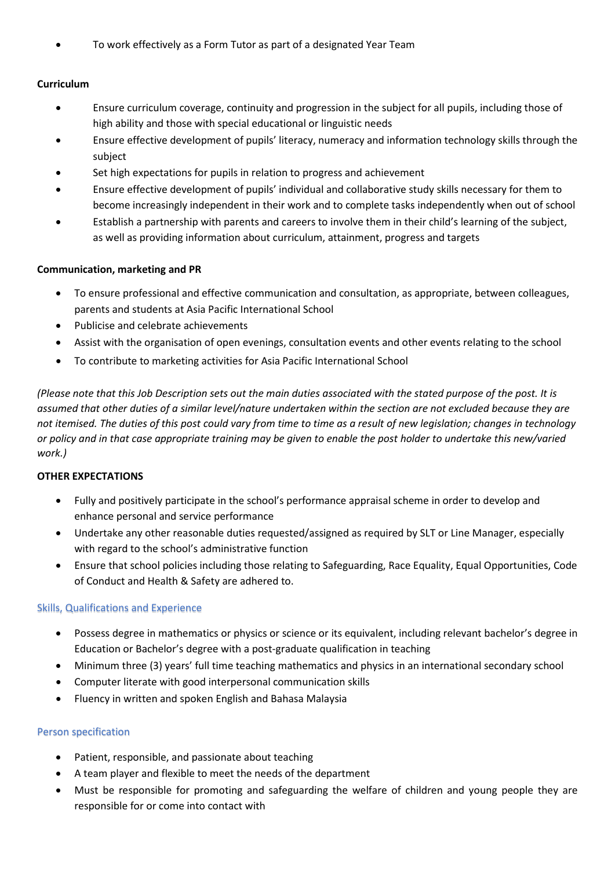• To work effectively as a Form Tutor as part of a designated Year Team

## **Curriculum**

- Ensure curriculum coverage, continuity and progression in the subject for all pupils, including those of high ability and those with special educational or linguistic needs
- Ensure effective development of pupils' literacy, numeracy and information technology skills through the subject
- Set high expectations for pupils in relation to progress and achievement
- Ensure effective development of pupils' individual and collaborative study skills necessary for them to become increasingly independent in their work and to complete tasks independently when out of school
- Establish a partnership with parents and careers to involve them in their child's learning of the subject, as well as providing information about curriculum, attainment, progress and targets

## **Communication, marketing and PR**

- To ensure professional and effective communication and consultation, as appropriate, between colleagues, parents and students at Asia Pacific International School
- Publicise and celebrate achievements
- Assist with the organisation of open evenings, consultation events and other events relating to the school
- To contribute to marketing activities for Asia Pacific International School

*(Please note that this Job Description sets out the main duties associated with the stated purpose of the post. It is assumed that other duties of a similar level/nature undertaken within the section are not excluded because they are not itemised. The duties of this post could vary from time to time as a result of new legislation; changes in technology or policy and in that case appropriate training may be given to enable the post holder to undertake this new/varied work.)*

## **OTHER EXPECTATIONS**

- Fully and positively participate in the school's performance appraisal scheme in order to develop and enhance personal and service performance
- Undertake any other reasonable duties requested/assigned as required by SLT or Line Manager, especially with regard to the school's administrative function
- Ensure that school policies including those relating to Safeguarding, Race Equality, Equal Opportunities, Code of Conduct and Health & Safety are adhered to.

## Skills, Qualifications and Experience

- Possess degree in mathematics or physics or science or its equivalent, including relevant bachelor's degree in Education or Bachelor's degree with a post-graduate qualification in teaching
- Minimum three (3) years' full time teaching mathematics and physics in an international secondary school
- Computer literate with good interpersonal communication skills
- Fluency in written and spoken English and Bahasa Malaysia

## Person specification

- Patient, responsible, and passionate about teaching
- A team player and flexible to meet the needs of the department
- Must be responsible for promoting and safeguarding the welfare of children and young people they are responsible for or come into contact with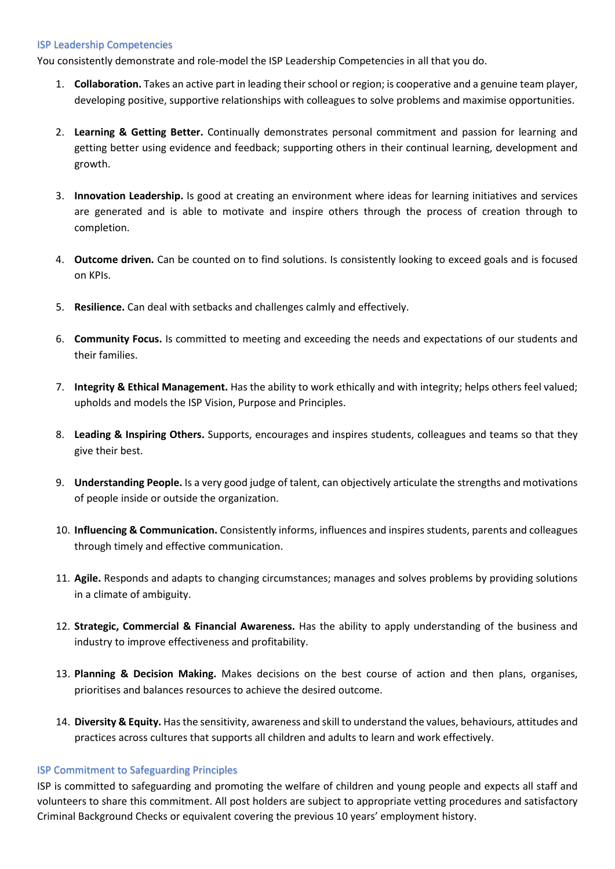#### ISP Leadership Competencies

You consistently demonstrate and role-model the ISP Leadership Competencies in all that you do.

- 1. **Collaboration.** Takes an active part in leading their school or region; is cooperative and a genuine team player, developing positive, supportive relationships with colleagues to solve problems and maximise opportunities.
- 2. **Learning & Getting Better.** Continually demonstrates personal commitment and passion for learning and getting better using evidence and feedback; supporting others in their continual learning, development and growth.
- 3. **Innovation Leadership.** Is good at creating an environment where ideas for learning initiatives and services are generated and is able to motivate and inspire others through the process of creation through to completion.
- 4. **Outcome driven.** Can be counted on to find solutions. Is consistently looking to exceed goals and is focused on KPIs.
- 5. **Resilience.** Can deal with setbacks and challenges calmly and effectively.
- 6. **Community Focus.** Is committed to meeting and exceeding the needs and expectations of our students and their families.
- 7. **Integrity & Ethical Management.** Has the ability to work ethically and with integrity; helps others feel valued; upholds and models the ISP Vision, Purpose and Principles.
- 8. **Leading & Inspiring Others.** Supports, encourages and inspires students, colleagues and teams so that they give their best.
- 9. **Understanding People.** Is a very good judge of talent, can objectively articulate the strengths and motivations of people inside or outside the organization.
- 10. **Influencing & Communication.** Consistently informs, influences and inspires students, parents and colleagues through timely and effective communication.
- 11. **Agile.** Responds and adapts to changing circumstances; manages and solves problems by providing solutions in a climate of ambiguity.
- 12. **Strategic, Commercial & Financial Awareness.** Has the ability to apply understanding of the business and industry to improve effectiveness and profitability.
- 13. **Planning & Decision Making.** Makes decisions on the best course of action and then plans, organises, prioritises and balances resources to achieve the desired outcome.
- 14. **Diversity & Equity.** Has the sensitivity, awareness and skill to understand the values, behaviours, attitudes and practices across cultures that supports all children and adults to learn and work effectively.

#### ISP Commitment to Safeguarding Principles

ISP is committed to safeguarding and promoting the welfare of children and young people and expects all staff and volunteers to share this commitment. All post holders are subject to appropriate vetting procedures and satisfactory Criminal Background Checks or equivalent covering the previous 10 years' employment history.